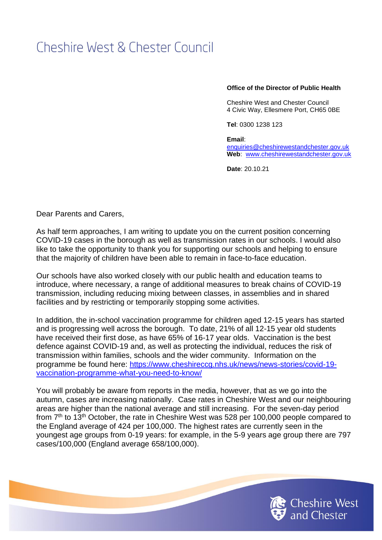## Cheshire West & Chester Council

## **Office of the Director of Public Health**

Cheshire West and Chester Council 4 Civic Way, Ellesmere Port, CH65 0BE

**Tel**: 0300 1238 123

**Email**: [enquiries@cheshirewestandchester.gov.uk](mailto:enquiries@cheshirewestandchester.gov.uk) Web: [www.cheshirewestandchester.gov.uk](http://www.cheshirewestandchester.gov.uk/)

**Date: 20.10.21** 

Dear Parents and Carers,

As half term approaches, I am writing to update you on the current position concerning COVID-19 cases in the borough as well as transmission rates in our schools. I would also like to take the opportunity to thank you for supporting our schools and helping to ensure that the majority of children have been able to remain in face-to-face education.

Our schools have also worked closely with our public health and education teams to introduce, where necessary, a range of additional measures to break chains of COVID-19 transmission, including reducing mixing between classes, in assemblies and in shared facilities and by restricting or temporarily stopping some activities.

In addition, the in-school vaccination programme for children aged 12-15 years has started and is progressing well across the borough. To date, 21% of all 12-15 year old students have received their first dose, as have 65% of 16-17 year olds. Vaccination is the best defence against COVID-19 and, as well as protecting the individual, reduces the risk of transmission within families, schools and the wider community. Information on the programme be found here: [https://www.cheshireccg.nhs.uk/news/news-stories/covid-19](https://www.cheshireccg.nhs.uk/news/news-stories/covid-19-vaccination-programme-what-you-need-to-know/) [vaccination-programme-what-you-need-to-know/](https://www.cheshireccg.nhs.uk/news/news-stories/covid-19-vaccination-programme-what-you-need-to-know/)

You will probably be aware from reports in the media, however, that as we go into the autumn, cases are increasing nationally. Case rates in Cheshire West and our neighbouring areas are higher than the national average and still increasing. For the seven-day period from 7th to 13th October, the rate in Cheshire West was 528 per 100,000 people compared to the England average of 424 per 100,000. The highest rates are currently seen in the youngest age groups from 0-19 years: for example, in the 5-9 years age group there are 797 cases/100,000 (England average 658/100,000).

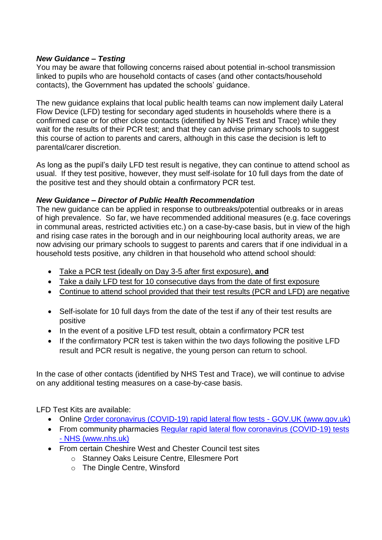## *New Guidance – Testing*

You may be aware that following concerns raised about potential in-school transmission linked to pupils who are household contacts of cases (and other contacts/household contacts), the Government has updated the schools' guidance.

The new guidance explains that local public health teams can now implement daily Lateral Flow Device (LFD) testing for secondary aged students in households where there is a confirmed case or for other close contacts (identified by NHS Test and Trace) while they wait for the results of their PCR test; and that they can advise primary schools to suggest this course of action to parents and carers, although in this case the decision is left to parental/carer discretion.

As long as the pupil's daily LFD test result is negative, they can continue to attend school as usual. If they test positive, however, they must self-isolate for 10 full days from the date of the positive test and they should obtain a confirmatory PCR test.

## *New Guidance – Director of Public Health Recommendation*

The new guidance can be applied in response to outbreaks/potential outbreaks or in areas of high prevalence. So far, we have recommended additional measures (e.g. face coverings in communal areas, restricted activities etc.) on a case-by-case basis, but in view of the high and rising case rates in the borough and in our neighbouring local authority areas, we are now advising our primary schools to suggest to parents and carers that if one individual in a household tests positive, any children in that household who attend school should:

- Take a PCR test (ideally on Day 3-5 after first exposure), **and**
- Take a daily LFD test for 10 consecutive days from the date of first exposure
- Continue to attend school provided that their test results (PCR and LFD) are negative
- Self-isolate for 10 full days from the date of the test if any of their test results are positive
- In the event of a positive LFD test result, obtain a confirmatory PCR test
- If the confirmatory PCR test is taken within the two days following the positive LFD result and PCR result is negative, the young person can return to school.

In the case of other contacts (identified by NHS Test and Trace), we will continue to advise on any additional testing measures on a case-by-case basis.

LFD Test Kits are available:

- Online [Order coronavirus \(COVID-19\) rapid lateral flow tests -](https://www.gov.uk/order-coronavirus-rapid-lateral-flow-tests) GOV.UK (www.gov.uk)
- From community pharmacies [Regular rapid lateral flow coronavirus \(COVID-19\) tests](https://www.nhs.uk/conditions/coronavirus-covid-19/testing/regular-rapid-coronavirus-tests-if-you-do-not-have-symptoms/)  - [NHS \(www.nhs.uk\)](https://www.nhs.uk/conditions/coronavirus-covid-19/testing/regular-rapid-coronavirus-tests-if-you-do-not-have-symptoms/)
- From certain Cheshire West and Chester Council test sites
	- o Stanney Oaks Leisure Centre, Ellesmere Port
		- o The Dingle Centre, Winsford